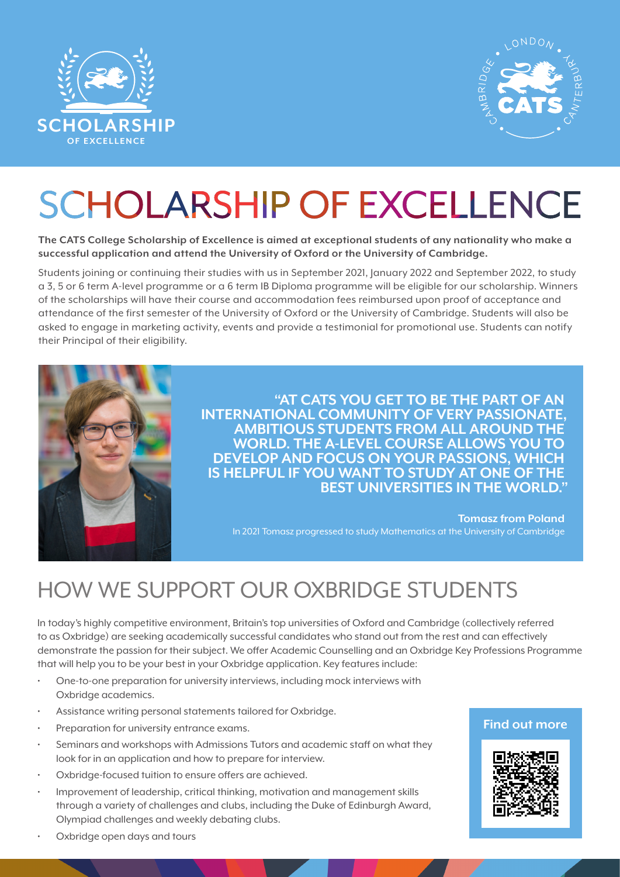



# **SCHOLARSHIP OF EXCELLENCE**

**The CATS College Scholarship of Excellence is aimed at exceptional students of any nationality who make a successful application and attend the University of Oxford or the University of Cambridge.**

Students joining or continuing their studies with us in September 2021, January 2022 and September 2022, to study a 3, 5 or 6 term A-level programme or a 6 term IB Diploma programme will be eligible for our scholarship. Winners of the scholarships will have their course and accommodation fees reimbursed upon proof of acceptance and attendance of the first semester of the University of Oxford or the University of Cambridge. Students will also be asked to engage in marketing activity, events and provide a testimonial for promotional use. Students can notify their Principal of their eligibility.



**"AT CATS YOU GET TO BE THE PART OF AN INTERNATIONAL COMMUNITY OF VERY PASSIONATE, AMBITIOUS STUDENTS FROM ALL AROUND THE WORLD. THE A-LEVEL COURSE ALLOWS YOU TO DEVELOP AND FOCUS ON YOUR PASSIONS, WHICH IS HELPFUL IF YOU WANT TO STUDY AT ONE OF THE BEST UNIVERSITIES IN THE WORLD."**

**Tomasz from Poland** In 2021 Tomasz progressed to study Mathematics at the University of Cambridge

## HOW WE SUPPORT OUR OXBRIDGE STUDENTS

In today's highly competitive environment, Britain's top universities of Oxford and Cambridge (collectively referred to as Oxbridge) are seeking academically successful candidates who stand out from the rest and can effectively demonstrate the passion for their subject. We offer Academic Counselling and an Oxbridge Key Professions Programme that will help you to be your best in your Oxbridge application. Key features include:

- One-to-one preparation for university interviews, including mock interviews with Oxbridge academics.
- Assistance writing personal statements tailored for Oxbridge.
- Preparation for university entrance exams.
- Seminars and workshops with Admissions Tutors and academic staff on what they look for in an application and how to prepare for interview.
- Oxbridge-focused tuition to ensure offers are achieved.
- Improvement of leadership, critical thinking, motivation and management skills through a variety of challenges and clubs, including the Duke of Edinburgh Award, Olympiad challenges and weekly debating clubs.

#### **Find out more**



Oxbridge open days and tours